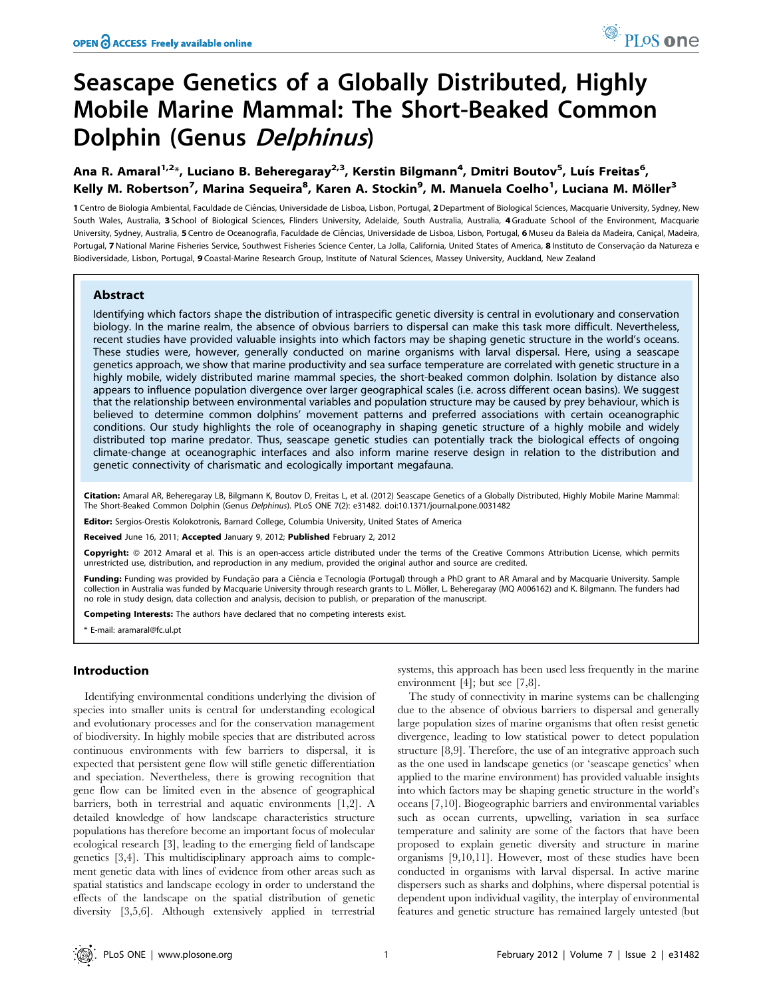# Seascape Genetics of a Globally Distributed, Highly Mobile Marine Mammal: The Short-Beaked Common Dolphin (Genus Delphinus)

Ana R. Amaral<sup>1,2</sup>\*, Luciano B. Beheregaray<sup>2,3</sup>, Kerstin Bilgmann<sup>4</sup>, Dmitri Boutov<sup>5</sup>, Luís Freitas<sup>6</sup>, Kelly M. Robertson<sup>7</sup>, Marina Sequeira<sup>8</sup>, Karen A. Stockin<sup>9</sup>, M. Manuela Coelho<sup>1</sup>, Luciana M. Möller<sup>3</sup>

1 Centro de Biologia Ambiental, Faculdade de Ciências, Universidade de Lisboa, Lisbon, Portugal, 2 Department of Biological Sciences, Macquarie University, Sydney, New South Wales, Australia, 3 School of Biological Sciences, Flinders University, Adelaide, South Australia, Australia, 4 Graduate School of the Environment, Macquarie University, Sydney, Australia, 5 Centro de Oceanografia, Faculdade de Ciências, Universidade de Lisboa, Lisbon, Portugal, 6 Museu da Baleia da Madeira, Canical, Madeira, Portugal, 7 National Marine Fisheries Service, Southwest Fisheries Science Center, La Jolla, California, United States of America, 8 Instituto de Conservação da Natureza e Biodiversidade, Lisbon, Portugal, 9 Coastal-Marine Research Group, Institute of Natural Sciences, Massey University, Auckland, New Zealand

# Abstract

Identifying which factors shape the distribution of intraspecific genetic diversity is central in evolutionary and conservation biology. In the marine realm, the absence of obvious barriers to dispersal can make this task more difficult. Nevertheless, recent studies have provided valuable insights into which factors may be shaping genetic structure in the world's oceans. These studies were, however, generally conducted on marine organisms with larval dispersal. Here, using a seascape genetics approach, we show that marine productivity and sea surface temperature are correlated with genetic structure in a highly mobile, widely distributed marine mammal species, the short-beaked common dolphin. Isolation by distance also appears to influence population divergence over larger geographical scales (i.e. across different ocean basins). We suggest that the relationship between environmental variables and population structure may be caused by prey behaviour, which is believed to determine common dolphins' movement patterns and preferred associations with certain oceanographic conditions. Our study highlights the role of oceanography in shaping genetic structure of a highly mobile and widely distributed top marine predator. Thus, seascape genetic studies can potentially track the biological effects of ongoing climate-change at oceanographic interfaces and also inform marine reserve design in relation to the distribution and genetic connectivity of charismatic and ecologically important megafauna.

Citation: Amaral AR, Beheregaray LB, Bilgmann K, Boutov D, Freitas L, et al. (2012) Seascape Genetics of a Globally Distributed, Highly Mobile Marine Mammal: The Short-Beaked Common Dolphin (Genus Delphinus). PLoS ONE 7(2): e31482. doi:10.1371/journal.pone.0031482

Editor: Sergios-Orestis Kolokotronis, Barnard College, Columbia University, United States of America

Received June 16, 2011; Accepted January 9, 2012; Published February 2, 2012

Copyright: © 2012 Amaral et al. This is an open-access article distributed under the terms of the Creative Commons Attribution License, which permits unrestricted use, distribution, and reproduction in any medium, provided the original author and source are credited.

Funding: Funding was provided by Fundação para a Ciência e Tecnologia (Portugal) through a PhD grant to AR Amaral and by Macquarie University. Sample collection in Australia was funded by Macquarie University through research grants to L. Möller, L. Beheregaray (MQ A006162) and K. Bilgmann. The funders had no role in study design, data collection and analysis, decision to publish, or preparation of the manuscript.

Competing Interests: The authors have declared that no competing interests exist.

\* E-mail: aramaral@fc.ul.pt

# Introduction

Identifying environmental conditions underlying the division of species into smaller units is central for understanding ecological and evolutionary processes and for the conservation management of biodiversity. In highly mobile species that are distributed across continuous environments with few barriers to dispersal, it is expected that persistent gene flow will stifle genetic differentiation and speciation. Nevertheless, there is growing recognition that gene flow can be limited even in the absence of geographical barriers, both in terrestrial and aquatic environments [1,2]. A detailed knowledge of how landscape characteristics structure populations has therefore become an important focus of molecular ecological research [3], leading to the emerging field of landscape genetics [3,4]. This multidisciplinary approach aims to complement genetic data with lines of evidence from other areas such as spatial statistics and landscape ecology in order to understand the effects of the landscape on the spatial distribution of genetic diversity [3,5,6]. Although extensively applied in terrestrial

systems, this approach has been used less frequently in the marine environment [4]; but see [7,8].

The study of connectivity in marine systems can be challenging due to the absence of obvious barriers to dispersal and generally large population sizes of marine organisms that often resist genetic divergence, leading to low statistical power to detect population structure [8,9]. Therefore, the use of an integrative approach such as the one used in landscape genetics (or 'seascape genetics' when applied to the marine environment) has provided valuable insights into which factors may be shaping genetic structure in the world's oceans [7,10]. Biogeographic barriers and environmental variables such as ocean currents, upwelling, variation in sea surface temperature and salinity are some of the factors that have been proposed to explain genetic diversity and structure in marine organisms [9,10,11]. However, most of these studies have been conducted in organisms with larval dispersal. In active marine dispersers such as sharks and dolphins, where dispersal potential is dependent upon individual vagility, the interplay of environmental features and genetic structure has remained largely untested (but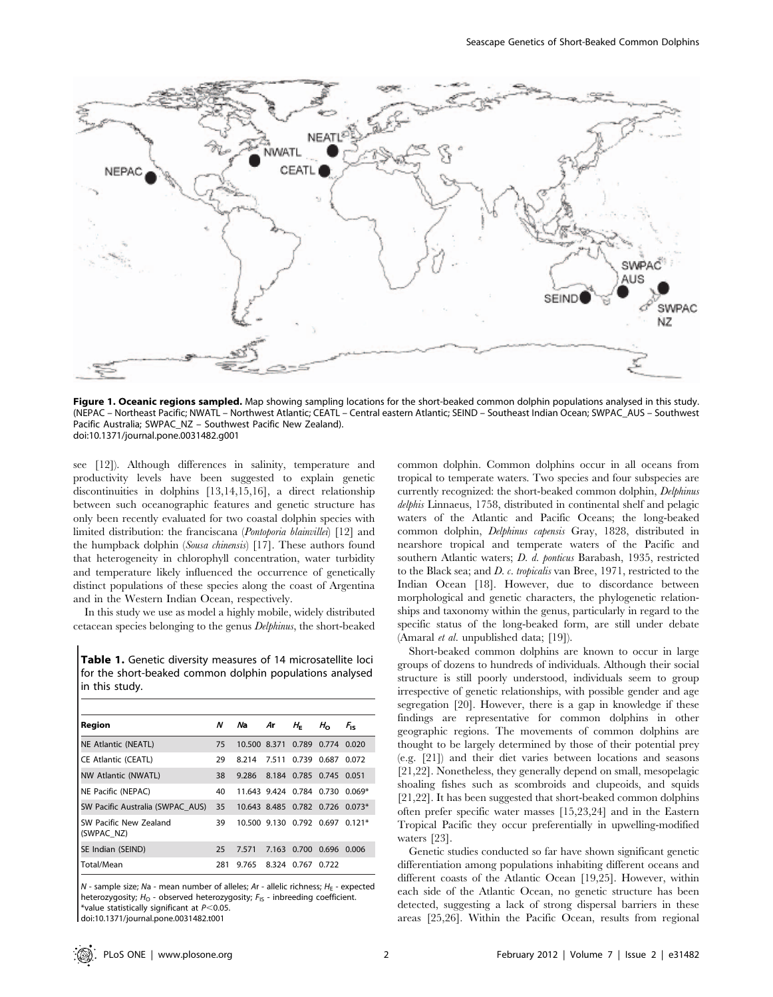

Figure 1. Oceanic regions sampled. Map showing sampling locations for the short-beaked common dolphin populations analysed in this study. (NEPAC – Northeast Pacific; NWATL – Northwest Atlantic; CEATL – Central eastern Atlantic; SEIND – Southeast Indian Ocean; SWPAC\_AUS – Southwest Pacific Australia; SWPAC\_NZ – Southwest Pacific New Zealand). doi:10.1371/journal.pone.0031482.g001

see [12]). Although differences in salinity, temperature and productivity levels have been suggested to explain genetic discontinuities in dolphins [13,14,15,16], a direct relationship between such oceanographic features and genetic structure has only been recently evaluated for two coastal dolphin species with limited distribution: the franciscana (Pontoporia blainvillei) [12] and the humpback dolphin (Sousa chinensis) [17]. These authors found that heterogeneity in chlorophyll concentration, water turbidity and temperature likely influenced the occurrence of genetically distinct populations of these species along the coast of Argentina and in the Western Indian Ocean, respectively.

In this study we use as model a highly mobile, widely distributed cetacean species belonging to the genus Delphinus, the short-beaked

Table 1. Genetic diversity measures of 14 microsatellite loci for the short-beaked common dolphin populations analysed in this study.

| Region                               | N   | Na           | Ar    | $H_{\rm F}$              | $H_{\Omega}$ | $F_{15}$ |
|--------------------------------------|-----|--------------|-------|--------------------------|--------------|----------|
| NE Atlantic (NEATL)                  | 75  | 10.500 8.371 |       | 0.789                    | 0.774        | 0.020    |
| <b>CE Atlantic (CEATL)</b>           | 29  | 8.214        | 7.511 | 0.739 0.687              |              | 0.072    |
| NW Atlantic (NWATL)                  | 38  | 9.286        |       | 8.184 0.785 0.745        |              | 0.051    |
| NE Pacific (NEPAC)                   | 40  |              |       | 11.643 9.424 0.784 0.730 |              | $0.069*$ |
| SW Pacific Australia (SWPAC AUS)     | 35  |              |       | 10.643 8.485 0.782 0.726 |              | $0.073*$ |
| SW Pacific New Zealand<br>(SWPAC NZ) | 39  |              |       | 10.500 9.130 0.792 0.697 |              | $0.121*$ |
| SE Indian (SEIND)                    | 25  | 7.571        | 7.163 | 0.700 0.696              |              | 0.006    |
| Total/Mean                           | 281 | 9.765        |       | 8.324 0.767              | 0.722        |          |

N - sample size; Na - mean number of alleles; Ar - allelic richness;  $H_E$  - expected heterozygosity;  $H_0$  - observed heterozygosity;  $F_{15}$  - inbreeding coefficient.  $*$ value statistically significant at  $P<$ 0.05.

doi:10.1371/journal.pone.0031482.t001

common dolphin. Common dolphins occur in all oceans from tropical to temperate waters. Two species and four subspecies are currently recognized: the short-beaked common dolphin, Delphinus delphis Linnaeus, 1758, distributed in continental shelf and pelagic waters of the Atlantic and Pacific Oceans; the long-beaked common dolphin, Delphinus capensis Gray, 1828, distributed in nearshore tropical and temperate waters of the Pacific and southern Atlantic waters; D. d. ponticus Barabash, 1935, restricted to the Black sea; and D. c. tropicalis van Bree, 1971, restricted to the Indian Ocean [18]. However, due to discordance between morphological and genetic characters, the phylogenetic relationships and taxonomy within the genus, particularly in regard to the specific status of the long-beaked form, are still under debate (Amaral et al. unpublished data; [19]).

Short-beaked common dolphins are known to occur in large groups of dozens to hundreds of individuals. Although their social structure is still poorly understood, individuals seem to group irrespective of genetic relationships, with possible gender and age segregation [20]. However, there is a gap in knowledge if these findings are representative for common dolphins in other geographic regions. The movements of common dolphins are thought to be largely determined by those of their potential prey (e.g. [21]) and their diet varies between locations and seasons [21,22]. Nonetheless, they generally depend on small, mesopelagic shoaling fishes such as scombroids and clupeoids, and squids [21,22]. It has been suggested that short-beaked common dolphins often prefer specific water masses [15,23,24] and in the Eastern Tropical Pacific they occur preferentially in upwelling-modified waters [23].

Genetic studies conducted so far have shown significant genetic differentiation among populations inhabiting different oceans and different coasts of the Atlantic Ocean [19,25]. However, within each side of the Atlantic Ocean, no genetic structure has been detected, suggesting a lack of strong dispersal barriers in these areas [25,26]. Within the Pacific Ocean, results from regional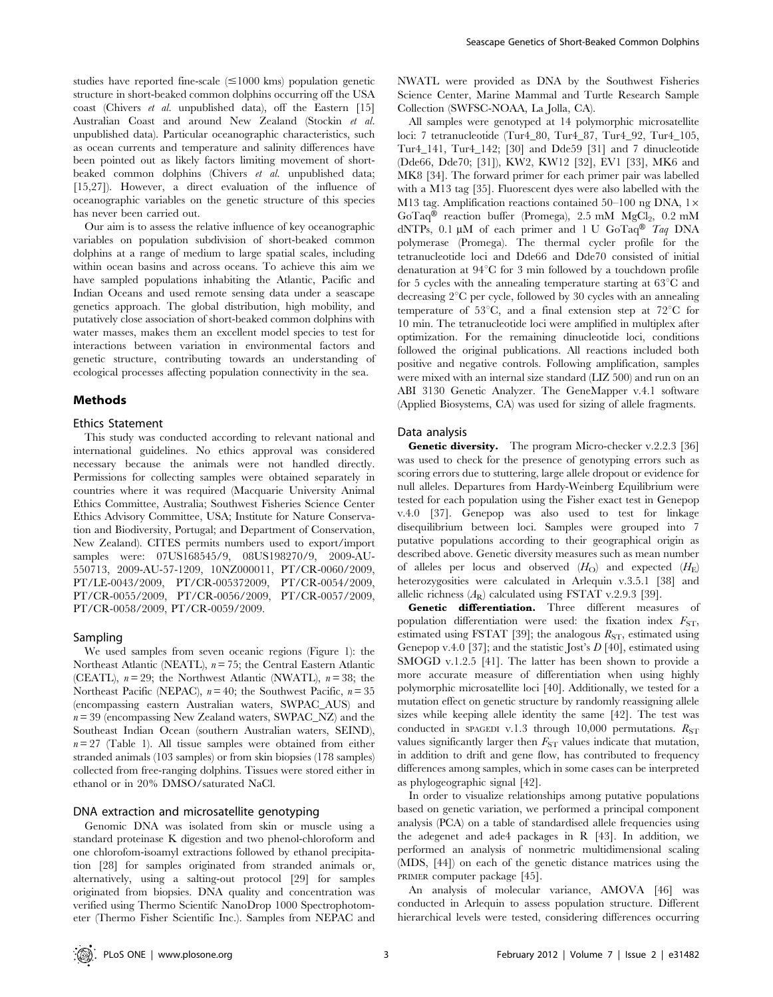studies have reported fine-scale  $(\leq 1000 \text{ km})$  population genetic structure in short-beaked common dolphins occurring off the USA coast (Chivers et al. unpublished data), off the Eastern [15] Australian Coast and around New Zealand (Stockin et al. unpublished data). Particular oceanographic characteristics, such as ocean currents and temperature and salinity differences have been pointed out as likely factors limiting movement of shortbeaked common dolphins (Chivers et al. unpublished data; [15,27]). However, a direct evaluation of the influence of oceanographic variables on the genetic structure of this species has never been carried out.

Our aim is to assess the relative influence of key oceanographic variables on population subdivision of short-beaked common dolphins at a range of medium to large spatial scales, including within ocean basins and across oceans. To achieve this aim we have sampled populations inhabiting the Atlantic, Pacific and Indian Oceans and used remote sensing data under a seascape genetics approach. The global distribution, high mobility, and putatively close association of short-beaked common dolphins with water masses, makes them an excellent model species to test for interactions between variation in environmental factors and genetic structure, contributing towards an understanding of ecological processes affecting population connectivity in the sea.

#### Methods

#### Ethics Statement

This study was conducted according to relevant national and international guidelines. No ethics approval was considered necessary because the animals were not handled directly. Permissions for collecting samples were obtained separately in countries where it was required (Macquarie University Animal Ethics Committee, Australia; Southwest Fisheries Science Center Ethics Advisory Committee, USA; Institute for Nature Conservation and Biodiversity, Portugal; and Department of Conservation, New Zealand). CITES permits numbers used to export/import samples were: 07US168545/9, 08US198270/9, 2009-AU-550713, 2009-AU-57-1209, 10NZ000011, PT/CR-0060/2009, PT/LE-0043/2009, PT/CR-005372009, PT/CR-0054/2009, PT/CR-0055/2009, PT/CR-0056/2009, PT/CR-0057/2009, PT/CR-0058/2009, PT/CR-0059/2009.

#### Sampling

We used samples from seven oceanic regions (Figure 1): the Northeast Atlantic (NEATL),  $n = 75$ ; the Central Eastern Atlantic (CEATL),  $n = 29$ ; the Northwest Atlantic (NWATL),  $n = 38$ ; the Northeast Pacific (NEPAC),  $n = 40$ ; the Southwest Pacific,  $n = 35$ (encompassing eastern Australian waters, SWPAC\_AUS) and  $n = 39$  (encompassing New Zealand waters, SWPAC\_NZ) and the Southeast Indian Ocean (southern Australian waters, SEIND),  $n = 27$  (Table 1). All tissue samples were obtained from either stranded animals (103 samples) or from skin biopsies (178 samples) collected from free-ranging dolphins. Tissues were stored either in ethanol or in 20% DMSO/saturated NaCl.

# DNA extraction and microsatellite genotyping

Genomic DNA was isolated from skin or muscle using a standard proteinase K digestion and two phenol-chloroform and one chlorofom-isoamyl extractions followed by ethanol precipitation [28] for samples originated from stranded animals or, alternatively, using a salting-out protocol [29] for samples originated from biopsies. DNA quality and concentration was verified using Thermo Scientifc NanoDrop 1000 Spectrophotometer (Thermo Fisher Scientific Inc.). Samples from NEPAC and NWATL were provided as DNA by the Southwest Fisheries Science Center, Marine Mammal and Turtle Research Sample Collection (SWFSC-NOAA, La Jolla, CA).

All samples were genotyped at 14 polymorphic microsatellite loci: 7 tetranucleotide (Tur4\_80, Tur4\_87, Tur4\_92, Tur4\_105, Tur4\_141, Tur4\_142; [30] and Dde59 [31] and 7 dinucleotide (Dde66, Dde70; [31]), KW2, KW12 [32], EV1 [33], MK6 and MK8 [34]. The forward primer for each primer pair was labelled with a M13 tag [35]. Fluorescent dyes were also labelled with the M13 tag. Amplification reactions contained 50–100 ng DNA,  $1 \times$  $GoTaq^{\circledR}$  reaction buffer (Promega), 2.5 mM  $MgCl_2$ , 0.2 mM dNTPs, 0.1  $\mu$ M of each primer and 1 U GoTaq<sup>®</sup> Taq DNA polymerase (Promega). The thermal cycler profile for the tetranucleotide loci and Dde66 and Dde70 consisted of initial denaturation at  $94^{\circ}$ C for 3 min followed by a touchdown profile for 5 cycles with the annealing temperature starting at  $63^{\circ}$ C and decreasing  $2^{\circ}C$  per cycle, followed by 30 cycles with an annealing temperature of  $53^{\circ}$ C, and a final extension step at  $72^{\circ}$ C for 10 min. The tetranucleotide loci were amplified in multiplex after optimization. For the remaining dinucleotide loci, conditions followed the original publications. All reactions included both positive and negative controls. Following amplification, samples were mixed with an internal size standard (LIZ 500) and run on an ABI 3130 Genetic Analyzer. The GeneMapper v.4.1 software (Applied Biosystems, CA) was used for sizing of allele fragments.

# Data analysis

Genetic diversity. The program Micro-checker v.2.2.3 [36] was used to check for the presence of genotyping errors such as scoring errors due to stuttering, large allele dropout or evidence for null alleles. Departures from Hardy-Weinberg Equilibrium were tested for each population using the Fisher exact test in Genepop v.4.0 [37]. Genepop was also used to test for linkage disequilibrium between loci. Samples were grouped into 7 putative populations according to their geographical origin as described above. Genetic diversity measures such as mean number of alleles per locus and observed  $(H<sub>O</sub>)$  and expected  $(H<sub>E</sub>)$ heterozygosities were calculated in Arlequin v.3.5.1 [38] and allelic richness  $(A_R)$  calculated using FSTAT v.2.9.3 [39].

Genetic differentiation. Three different measures of population differentiation were used: the fixation index  $F_{ST}$ , estimated using FSTAT [39]; the analogous  $R_{ST}$ , estimated using Genepop v.4.0 [37]; and the statistic Jost's  $D$  [40], estimated using SMOGD v.1.2.5 [41]. The latter has been shown to provide a more accurate measure of differentiation when using highly polymorphic microsatellite loci [40]. Additionally, we tested for a mutation effect on genetic structure by randomly reassigning allele sizes while keeping allele identity the same [42]. The test was conducted in SPAGEDI v.1.3 through 10,000 permutations.  $R_{ST}$ values significantly larger then  $F_{ST}$  values indicate that mutation, in addition to drift and gene flow, has contributed to frequency differences among samples, which in some cases can be interpreted as phylogeographic signal [42].

In order to visualize relationships among putative populations based on genetic variation, we performed a principal component analysis (PCA) on a table of standardised allele frequencies using the adegenet and ade4 packages in R [43]. In addition, we performed an analysis of nonmetric multidimensional scaling (MDS, [44]) on each of the genetic distance matrices using the PRIMER computer package [45].

An analysis of molecular variance, AMOVA [46] was conducted in Arlequin to assess population structure. Different hierarchical levels were tested, considering differences occurring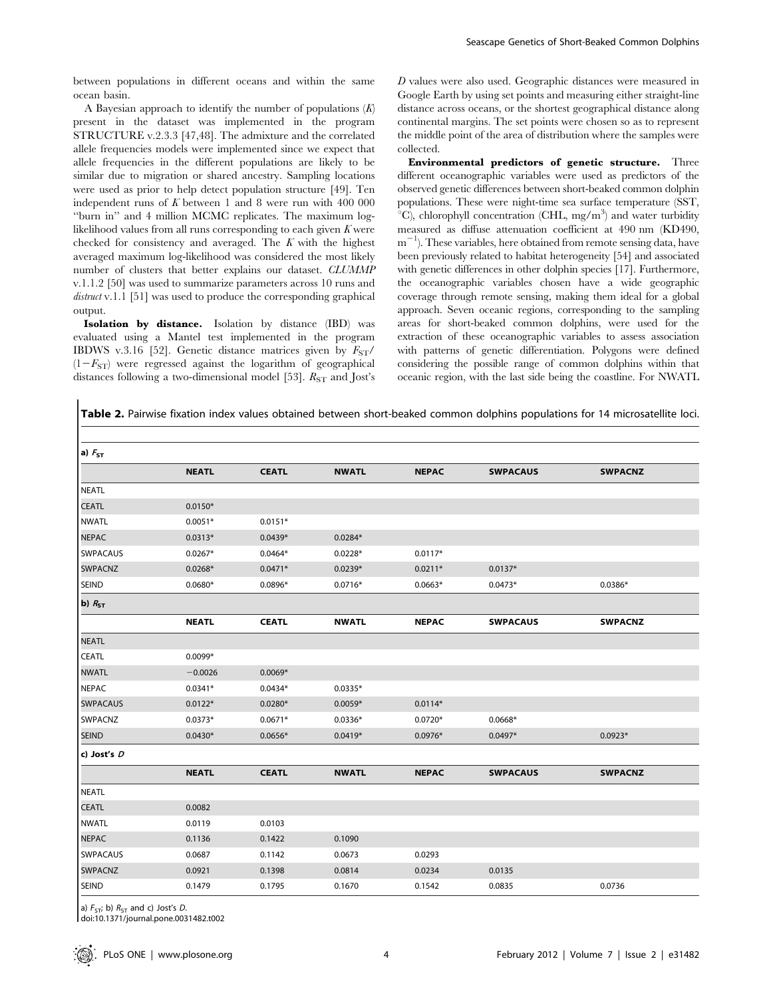between populations in different oceans and within the same ocean basin.

A Bayesian approach to identify the number of populations  $(K)$ present in the dataset was implemented in the program STRUCTURE v.2.3.3 [47,48]. The admixture and the correlated allele frequencies models were implemented since we expect that allele frequencies in the different populations are likely to be similar due to migration or shared ancestry. Sampling locations were used as prior to help detect population structure [49]. Ten independent runs of  $K$  between 1 and 8 were run with 400 000 ''burn in'' and 4 million MCMC replicates. The maximum loglikelihood values from all runs corresponding to each given  $K$  were checked for consistency and averaged. The  $K$  with the highest averaged maximum log-likelihood was considered the most likely number of clusters that better explains our dataset. CLUMMP v.1.1.2 [50] was used to summarize parameters across 10 runs and distruct v.1.1 [51] was used to produce the corresponding graphical output.

Isolation by distance. Isolation by distance (IBD) was evaluated using a Mantel test implemented in the program IBDWS v.3.16 [52]. Genetic distance matrices given by  $F_{ST}/$  $(1-F<sub>ST</sub>)$  were regressed against the logarithm of geographical distances following a two-dimensional model [53].  $R_{ST}$  and Jost's D values were also used. Geographic distances were measured in Google Earth by using set points and measuring either straight-line distance across oceans, or the shortest geographical distance along continental margins. The set points were chosen so as to represent the middle point of the area of distribution where the samples were collected.

Environmental predictors of genetic structure. Three different oceanographic variables were used as predictors of the observed genetic differences between short-beaked common dolphin populations. These were night-time sea surface temperature (SST,  $^{\circ}$ C), chlorophyll concentration (CHL, mg/m<sup>3</sup>) and water turbidity measured as diffuse attenuation coefficient at 490 nm (KD490,  $m^{-1}$ ). These variables, here obtained from remote sensing data, have been previously related to habitat heterogeneity [54] and associated with genetic differences in other dolphin species [17]. Furthermore, the oceanographic variables chosen have a wide geographic coverage through remote sensing, making them ideal for a global approach. Seven oceanic regions, corresponding to the sampling areas for short-beaked common dolphins, were used for the extraction of these oceanographic variables to assess association with patterns of genetic differentiation. Polygons were defined considering the possible range of common dolphins within that oceanic region, with the last side being the coastline. For NWATL

Table 2. Pairwise fixation index values obtained between short-beaked common dolphins populations for 14 microsatellite loci.

| $ $ a) $F_{ST}$ |              |              |              |              |                 |                |
|-----------------|--------------|--------------|--------------|--------------|-----------------|----------------|
|                 | <b>NEATL</b> | <b>CEATL</b> | <b>NWATL</b> | <b>NEPAC</b> | <b>SWPACAUS</b> | <b>SWPACNZ</b> |
| <b>NEATL</b>    |              |              |              |              |                 |                |
| <b>CEATL</b>    | $0.0150*$    |              |              |              |                 |                |
| <b>NWATL</b>    | $0.0051*$    | $0.0151*$    |              |              |                 |                |
| <b>NEPAC</b>    | $0.0313*$    | $0.0439*$    | $0.0284*$    |              |                 |                |
| <b>SWPACAUS</b> | $0.0267*$    | $0.0464*$    | $0.0228*$    | $0.0117*$    |                 |                |
| <b>SWPACNZ</b>  | $0.0268*$    | $0.0471*$    | $0.0239*$    | $0.0211*$    | $0.0137*$       |                |
| <b>SEIND</b>    | $0.0680*$    | $0.0896*$    | $0.0716*$    | $0.0663*$    | $0.0473*$       | $0.0386*$      |
| b) $R_{ST}$     |              |              |              |              |                 |                |
|                 | <b>NEATL</b> | <b>CEATL</b> | <b>NWATL</b> | <b>NEPAC</b> | <b>SWPACAUS</b> | <b>SWPACNZ</b> |
| <b>NEATL</b>    |              |              |              |              |                 |                |
| <b>CEATL</b>    | $0.0099*$    |              |              |              |                 |                |
| <b>NWATL</b>    | $-0.0026$    | $0.0069*$    |              |              |                 |                |
| <b>NEPAC</b>    | $0.0341*$    | $0.0434*$    | $0.0335*$    |              |                 |                |
| <b>SWPACAUS</b> | $0.0122*$    | $0.0280*$    | $0.0059*$    | $0.0114*$    |                 |                |
| <b>SWPACNZ</b>  | $0.0373*$    | $0.0671*$    | $0.0336*$    | $0.0720*$    | $0.0668*$       |                |
| <b>SEIND</b>    | $0.0430*$    | $0.0656*$    | $0.0419*$    | $0.0976*$    | $0.0497*$       | $0.0923*$      |
| c) Jost's D     |              |              |              |              |                 |                |
|                 | <b>NEATL</b> | <b>CEATL</b> | <b>NWATL</b> | <b>NEPAC</b> | <b>SWPACAUS</b> | <b>SWPACNZ</b> |
| <b>NEATL</b>    |              |              |              |              |                 |                |
| <b>CEATL</b>    | 0.0082       |              |              |              |                 |                |
| <b>NWATL</b>    | 0.0119       | 0.0103       |              |              |                 |                |
| <b>NEPAC</b>    | 0.1136       | 0.1422       | 0.1090       |              |                 |                |
| <b>SWPACAUS</b> | 0.0687       | 0.1142       | 0.0673       | 0.0293       |                 |                |
| <b>SWPACNZ</b>  | 0.0921       | 0.1398       | 0.0814       | 0.0234       | 0.0135          |                |
| <b>SEIND</b>    | 0.1479       | 0.1795       | 0.1670       | 0.1542       | 0.0835          | 0.0736         |

a)  $F_{ST}$ ; b)  $R_{ST}$  and c) Jost's D.

doi:10.1371/journal.pone.0031482.t002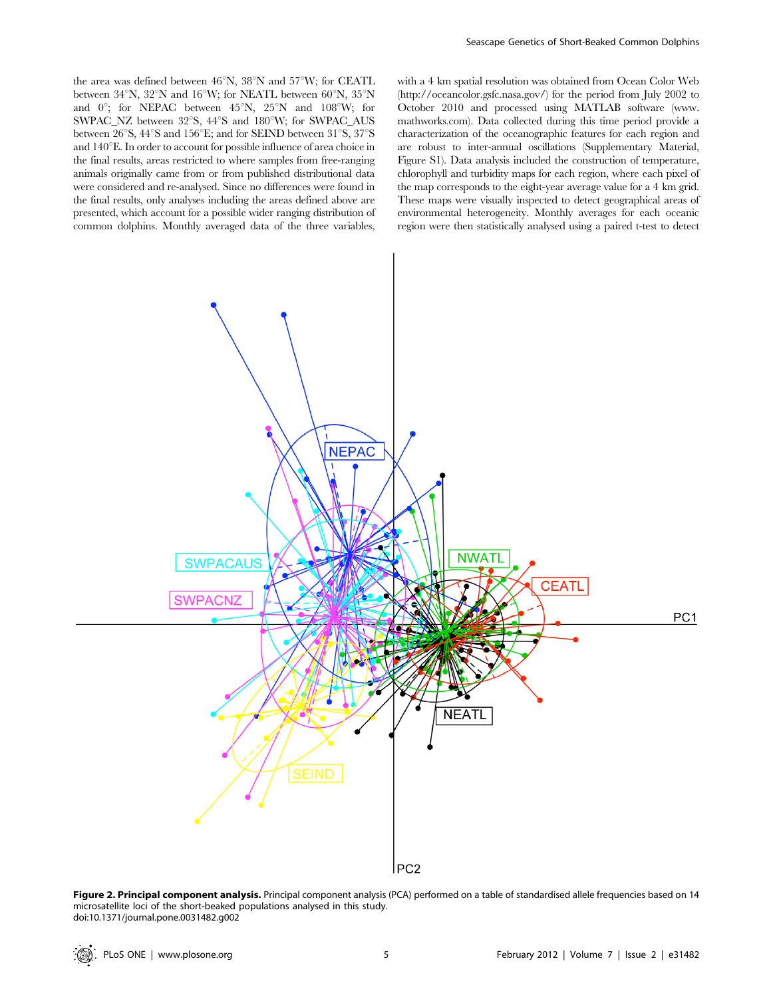the area was defined between  $46^{\circ}N$ ,  $38^{\circ}N$  and  $57^{\circ}W$ ; for CEATL between  $34^{\circ}$ N,  $32^{\circ}$ N and  $16^{\circ}$ W; for NEATL between  $60^{\circ}$ N,  $35^{\circ}$ N and  $0^{\circ}$ ; for NEPAC between  $45^{\circ}N$ ,  $25^{\circ}N$  and  $108^{\circ}W$ ; for SWPAC\_NZ between 32°S, 44°S and 180°W; for SWPAC\_AUS between  $26^{\circ}$ S,  $44^{\circ}$ S and  $156^{\circ}$ E; and for SEIND between  $31^{\circ}$ S,  $37^{\circ}$ S and  $140^{\circ}$ E. In order to account for possible influence of area choice in the final results, areas restricted to where samples from free-ranging animals originally came from or from published distributional data were considered and re-analysed. Since no differences were found in the final results, only analyses including the areas defined above are presented, which account for a possible wider ranging distribution of common dolphins. Monthly averaged data of the three variables,

with a 4 km spatial resolution was obtained from Ocean Color Web (http://oceancolor.gsfc.nasa.gov/) for the period from July 2002 to October 2010 and processed using MATLAB software (www. mathworks.com). Data collected during this time period provide a characterization of the oceanographic features for each region and are robust to inter-annual oscillations (Supplementary Material, Figure S1). Data analysis included the construction of temperature, chlorophyll and turbidity maps for each region, where each pixel of the map corresponds to the eight-year average value for a 4 km grid. These maps were visually inspected to detect geographical areas of environmental heterogeneity. Monthly averages for each oceanic region were then statistically analysed using a paired t-test to detect



Figure 2. Principal component analysis. Principal component analysis (PCA) performed on a table of standardised allele frequencies based on 14 microsatellite loci of the short-beaked populations analysed in this study. doi:10.1371/journal.pone.0031482.g002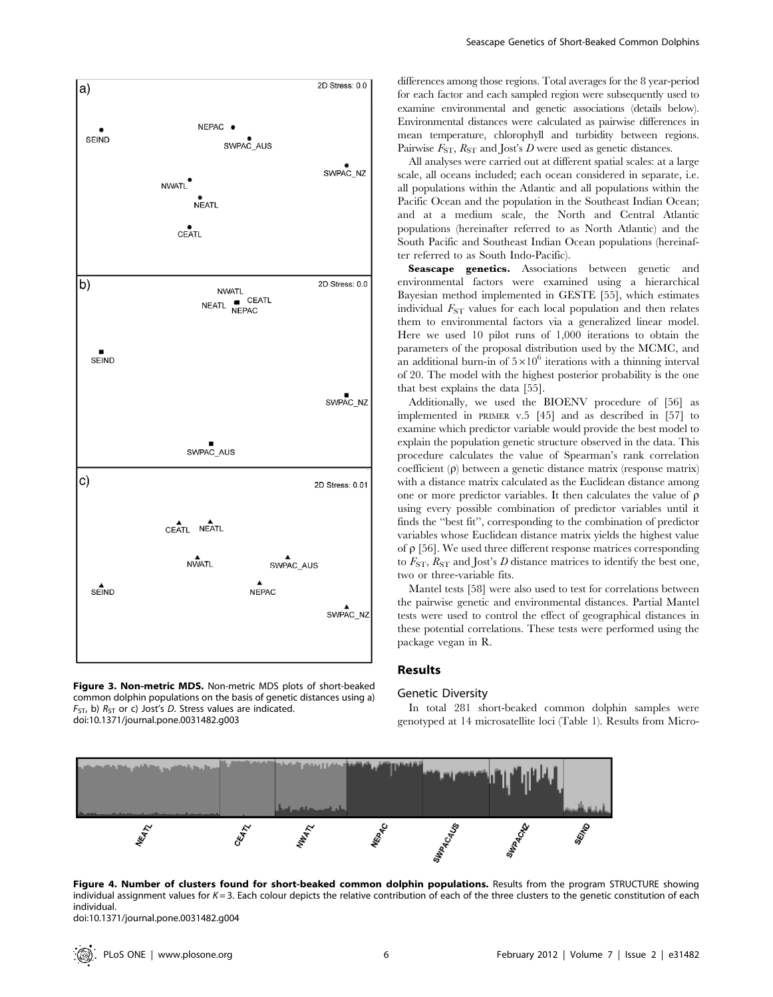

Figure 3. Non-metric MDS. Non-metric MDS plots of short-beaked common dolphin populations on the basis of genetic distances using a)  $F_{ST}$ , b)  $R_{ST}$  or c) Jost's D. Stress values are indicated. doi:10.1371/journal.pone.0031482.g003

differences among those regions. Total averages for the 8 year-period for each factor and each sampled region were subsequently used to examine environmental and genetic associations (details below). Environmental distances were calculated as pairwise differences in mean temperature, chlorophyll and turbidity between regions. Pairwise  $F_{ST}$ ,  $R_{ST}$  and Jost's D were used as genetic distances.

All analyses were carried out at different spatial scales: at a large scale, all oceans included; each ocean considered in separate, i.e. all populations within the Atlantic and all populations within the Pacific Ocean and the population in the Southeast Indian Ocean; and at a medium scale, the North and Central Atlantic populations (hereinafter referred to as North Atlantic) and the South Pacific and Southeast Indian Ocean populations (hereinafter referred to as South Indo-Pacific).

Seascape genetics. Associations between genetic and environmental factors were examined using a hierarchical Bayesian method implemented in GESTE [55], which estimates individual  $F_{ST}$  values for each local population and then relates them to environmental factors via a generalized linear model. Here we used 10 pilot runs of 1,000 iterations to obtain the parameters of the proposal distribution used by the MCMC, and an additional burn-in of  $5\times10^6$  iterations with a thinning interval of 20. The model with the highest posterior probability is the one that best explains the data [55].

Additionally, we used the BIOENV procedure of [56] as implemented in PRIMER v.5 [45] and as described in [57] to examine which predictor variable would provide the best model to explain the population genetic structure observed in the data. This procedure calculates the value of Spearman's rank correlation coefficient  $(\rho)$  between a genetic distance matrix (response matrix) with a distance matrix calculated as the Euclidean distance among one or more predictor variables. It then calculates the value of  $\rho$ using every possible combination of predictor variables until it finds the ''best fit'', corresponding to the combination of predictor variables whose Euclidean distance matrix yields the highest value of  $\rho$  [56]. We used three different response matrices corresponding to  $F_{ST}$ ,  $R_{ST}$  and Jost's D distance matrices to identify the best one, two or three-variable fits.

Mantel tests [58] were also used to test for correlations between the pairwise genetic and environmental distances. Partial Mantel tests were used to control the effect of geographical distances in these potential correlations. These tests were performed using the package vegan in R.

#### Results

#### Genetic Diversity

In total 281 short-beaked common dolphin samples were genotyped at 14 microsatellite loci (Table 1). Results from Micro-



Figure 4. Number of clusters found for short-beaked common dolphin populations. Results from the program STRUCTURE showing individual assignment values for K=3. Each colour depicts the relative contribution of each of the three clusters to the genetic constitution of each individual.

doi:10.1371/journal.pone.0031482.g004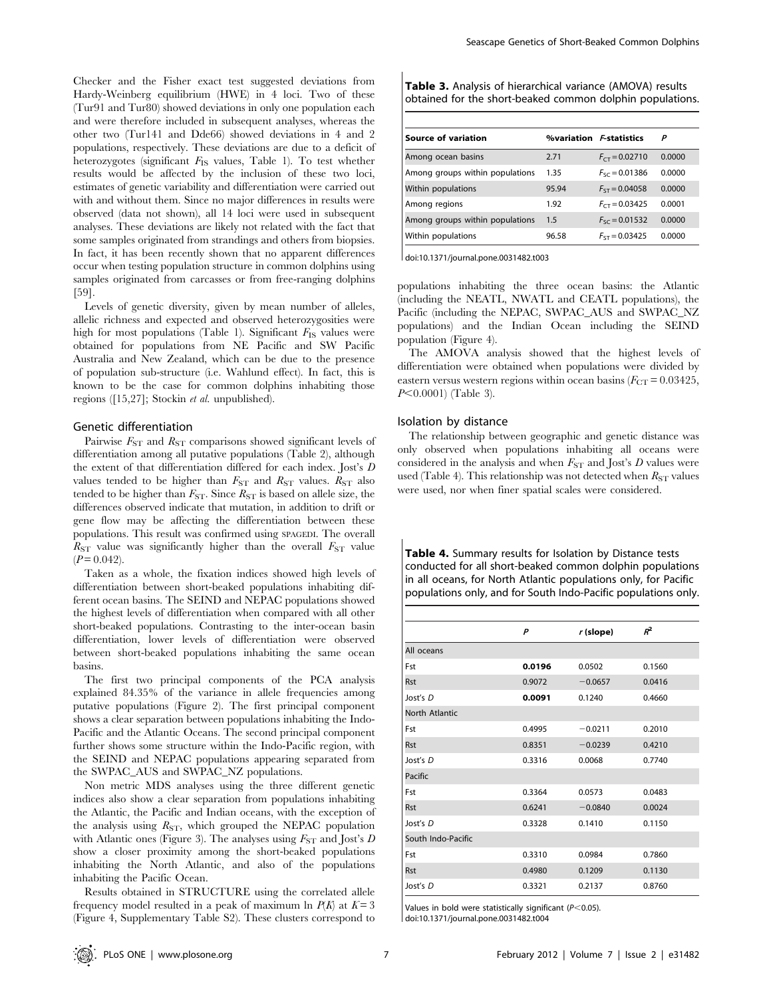Checker and the Fisher exact test suggested deviations from Hardy-Weinberg equilibrium (HWE) in 4 loci. Two of these (Tur91 and Tur80) showed deviations in only one population each and were therefore included in subsequent analyses, whereas the other two (Tur141 and Dde66) showed deviations in 4 and 2 populations, respectively. These deviations are due to a deficit of heterozygotes (significant  $F_{IS}$  values, Table 1). To test whether results would be affected by the inclusion of these two loci, estimates of genetic variability and differentiation were carried out with and without them. Since no major differences in results were observed (data not shown), all 14 loci were used in subsequent analyses. These deviations are likely not related with the fact that some samples originated from strandings and others from biopsies. In fact, it has been recently shown that no apparent differences occur when testing population structure in common dolphins using samples originated from carcasses or from free-ranging dolphins [59].

Levels of genetic diversity, given by mean number of alleles, allelic richness and expected and observed heterozygosities were high for most populations (Table 1). Significant  $F_{IS}$  values were obtained for populations from NE Pacific and SW Pacific Australia and New Zealand, which can be due to the presence of population sub-structure (i.e. Wahlund effect). In fact, this is known to be the case for common dolphins inhabiting those regions ([15,27]; Stockin et al. unpublished).

#### Genetic differentiation

Pairwise  $F_{ST}$  and  $R_{ST}$  comparisons showed significant levels of differentiation among all putative populations (Table 2), although the extent of that differentiation differed for each index. Jost's D values tended to be higher than  $F_{ST}$  and  $R_{ST}$  values.  $R_{ST}$  also tended to be higher than  $F_{ST}$ . Since  $R_{ST}$  is based on allele size, the differences observed indicate that mutation, in addition to drift or gene flow may be affecting the differentiation between these populations. This result was confirmed using SPAGEDI. The overall  $R_{ST}$  value was significantly higher than the overall  $F_{ST}$  value  $(P = 0.042)$ .

Taken as a whole, the fixation indices showed high levels of differentiation between short-beaked populations inhabiting different ocean basins. The SEIND and NEPAC populations showed the highest levels of differentiation when compared with all other short-beaked populations. Contrasting to the inter-ocean basin differentiation, lower levels of differentiation were observed between short-beaked populations inhabiting the same ocean basins.

The first two principal components of the PCA analysis explained 84.35% of the variance in allele frequencies among putative populations (Figure 2). The first principal component shows a clear separation between populations inhabiting the Indo-Pacific and the Atlantic Oceans. The second principal component further shows some structure within the Indo-Pacific region, with the SEIND and NEPAC populations appearing separated from the SWPAC\_AUS and SWPAC\_NZ populations.

Non metric MDS analyses using the three different genetic indices also show a clear separation from populations inhabiting the Atlantic, the Pacific and Indian oceans, with the exception of the analysis using  $R_{ST}$ , which grouped the NEPAC population with Atlantic ones (Figure 3). The analyses using  $F_{ST}$  and Jost's  $D$ show a closer proximity among the short-beaked populations inhabiting the North Atlantic, and also of the populations inhabiting the Pacific Ocean.

Results obtained in STRUCTURE using the correlated allele frequency model resulted in a peak of maximum ln  $P(K)$  at  $K = 3$ (Figure 4, Supplementary Table S2). These clusters correspond to Table 3. Analysis of hierarchical variance (AMOVA) results obtained for the short-beaked common dolphin populations.

| Source of variation             | <b>%variation F-statistics</b> |                    | Р      |
|---------------------------------|--------------------------------|--------------------|--------|
| Among ocean basins              | 2.71                           | $F_{CT} = 0.02710$ | 0.0000 |
| Among groups within populations | 1.35                           | $F_{sc} = 0.01386$ | 0.0000 |
| Within populations              | 95.94                          | $F_{ST} = 0.04058$ | 0.0000 |
| Among regions                   | 1.92                           | $F_{CT} = 0.03425$ | 0.0001 |
| Among groups within populations | 1.5                            | $F_{sc} = 0.01532$ | 0.0000 |
| Within populations              | 96.58                          | $F_{ST} = 0.03425$ | 0.0000 |

doi:10.1371/journal.pone.0031482.t003

populations inhabiting the three ocean basins: the Atlantic (including the NEATL, NWATL and CEATL populations), the Pacific (including the NEPAC, SWPAC\_AUS and SWPAC\_NZ populations) and the Indian Ocean including the SEIND population (Figure 4).

The AMOVA analysis showed that the highest levels of differentiation were obtained when populations were divided by eastern versus western regions within ocean basins  $(F_{CT} = 0.03425)$ ,  $P<0.0001$  (Table 3).

# Isolation by distance

The relationship between geographic and genetic distance was only observed when populations inhabiting all oceans were considered in the analysis and when  $F_{ST}$  and Jost's  $D$  values were used (Table 4). This relationship was not detected when  $R_{ST}$  values were used, nor when finer spatial scales were considered.

Table 4. Summary results for Isolation by Distance tests conducted for all short-beaked common dolphin populations in all oceans, for North Atlantic populations only, for Pacific populations only, and for South Indo-Pacific populations only.

|                    | P      | $r$ (slope) | $R^2$  |  |  |  |
|--------------------|--------|-------------|--------|--|--|--|
| All oceans         |        |             |        |  |  |  |
| Fst                | 0.0196 | 0.0502      | 0.1560 |  |  |  |
| <b>Rst</b>         | 0.9072 | $-0.0657$   | 0.0416 |  |  |  |
| Jost's D           | 0.0091 | 0.1240      | 0.4660 |  |  |  |
| North Atlantic     |        |             |        |  |  |  |
| Fst                | 0.4995 | $-0.0211$   | 0.2010 |  |  |  |
| <b>Rst</b>         | 0.8351 | $-0.0239$   | 0.4210 |  |  |  |
| Jost's D           | 0.3316 | 0.0068      | 0.7740 |  |  |  |
| Pacific            |        |             |        |  |  |  |
| Fst                | 0.3364 | 0.0573      | 0.0483 |  |  |  |
| <b>Rst</b>         | 0.6241 | $-0.0840$   | 0.0024 |  |  |  |
| Jost's D           | 0.3328 | 0.1410      | 0.1150 |  |  |  |
| South Indo-Pacific |        |             |        |  |  |  |
| Fst                | 0.3310 | 0.0984      | 0.7860 |  |  |  |
| <b>Rst</b>         | 0.4980 | 0.1209      | 0.1130 |  |  |  |
| Jost's D           | 0.3321 | 0.2137      | 0.8760 |  |  |  |

Values in bold were statistically significant ( $P$ <0.05). doi:10.1371/journal.pone.0031482.t004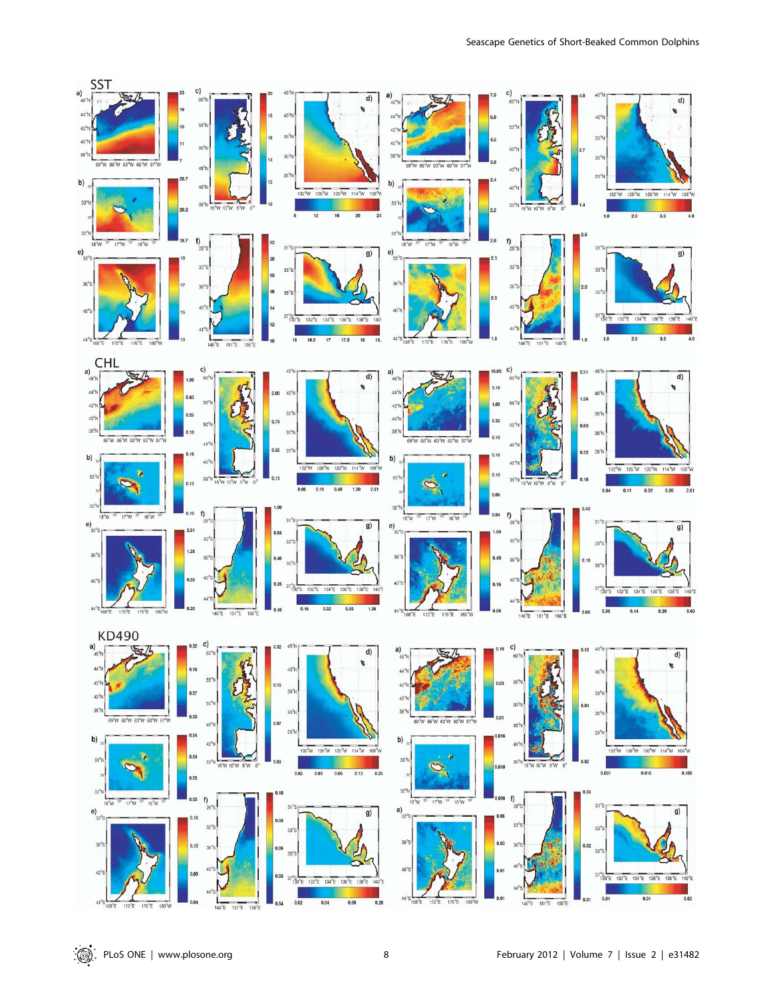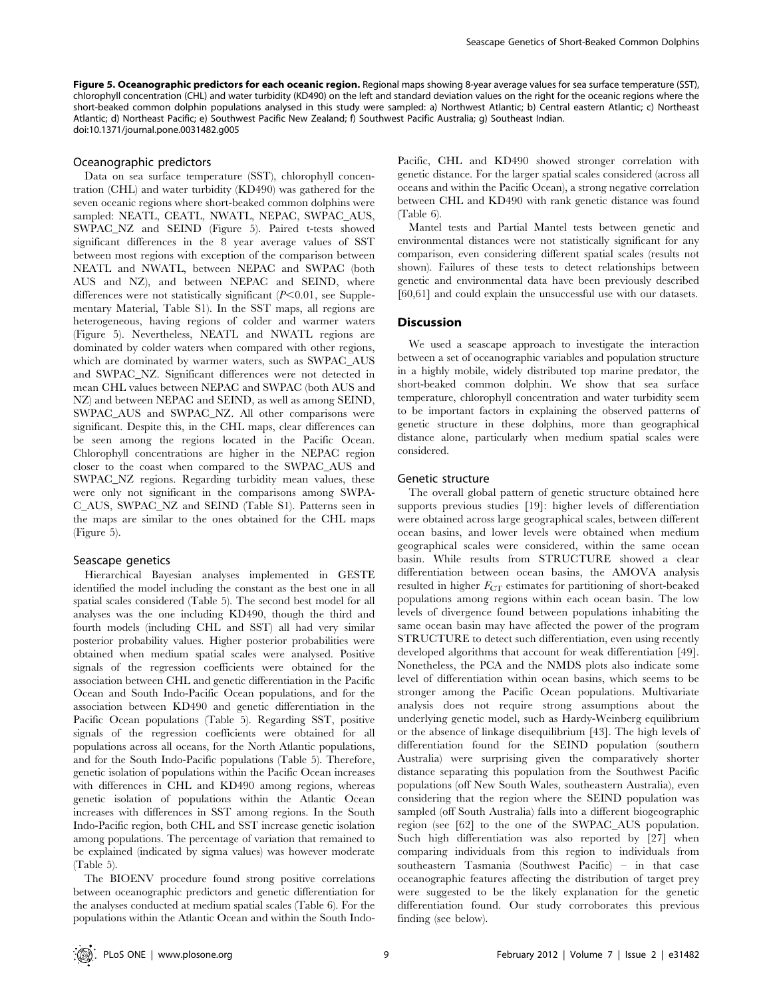Figure 5. Oceanographic predictors for each oceanic region. Regional maps showing 8-year average values for sea surface temperature (SST), chlorophyll concentration (CHL) and water turbidity (KD490) on the left and standard deviation values on the right for the oceanic regions where the short-beaked common dolphin populations analysed in this study were sampled: a) Northwest Atlantic; b) Central eastern Atlantic; c) Northeast Atlantic; d) Northeast Pacific; e) Southwest Pacific New Zealand; f) Southwest Pacific Australia; g) Southeast Indian. doi:10.1371/journal.pone.0031482.g005

#### Oceanographic predictors

Data on sea surface temperature (SST), chlorophyll concentration (CHL) and water turbidity (KD490) was gathered for the seven oceanic regions where short-beaked common dolphins were sampled: NEATL, CEATL, NWATL, NEPAC, SWPAC\_AUS, SWPAC\_NZ and SEIND (Figure 5). Paired t-tests showed significant differences in the 8 year average values of SST between most regions with exception of the comparison between NEATL and NWATL, between NEPAC and SWPAC (both AUS and NZ), and between NEPAC and SEIND, where differences were not statistically significant  $(P<0.01$ , see Supplementary Material, Table S1). In the SST maps, all regions are heterogeneous, having regions of colder and warmer waters (Figure 5). Nevertheless, NEATL and NWATL regions are dominated by colder waters when compared with other regions, which are dominated by warmer waters, such as SWPAC\_AUS and SWPAC\_NZ. Significant differences were not detected in mean CHL values between NEPAC and SWPAC (both AUS and NZ) and between NEPAC and SEIND, as well as among SEIND, SWPAC\_AUS and SWPAC\_NZ. All other comparisons were significant. Despite this, in the CHL maps, clear differences can be seen among the regions located in the Pacific Ocean. Chlorophyll concentrations are higher in the NEPAC region closer to the coast when compared to the SWPAC\_AUS and SWPAC\_NZ regions. Regarding turbidity mean values, these were only not significant in the comparisons among SWPA-C\_AUS, SWPAC\_NZ and SEIND (Table S1). Patterns seen in the maps are similar to the ones obtained for the CHL maps (Figure 5).

# Seascape genetics

Hierarchical Bayesian analyses implemented in GESTE identified the model including the constant as the best one in all spatial scales considered (Table 5). The second best model for all analyses was the one including KD490, though the third and fourth models (including CHL and SST) all had very similar posterior probability values. Higher posterior probabilities were obtained when medium spatial scales were analysed. Positive signals of the regression coefficients were obtained for the association between CHL and genetic differentiation in the Pacific Ocean and South Indo-Pacific Ocean populations, and for the association between KD490 and genetic differentiation in the Pacific Ocean populations (Table 5). Regarding SST, positive signals of the regression coefficients were obtained for all populations across all oceans, for the North Atlantic populations, and for the South Indo-Pacific populations (Table 5). Therefore, genetic isolation of populations within the Pacific Ocean increases with differences in CHL and KD490 among regions, whereas genetic isolation of populations within the Atlantic Ocean increases with differences in SST among regions. In the South Indo-Pacific region, both CHL and SST increase genetic isolation among populations. The percentage of variation that remained to be explained (indicated by sigma values) was however moderate (Table 5).

The BIOENV procedure found strong positive correlations between oceanographic predictors and genetic differentiation for the analyses conducted at medium spatial scales (Table 6). For the populations within the Atlantic Ocean and within the South IndoPacific, CHL and KD490 showed stronger correlation with genetic distance. For the larger spatial scales considered (across all oceans and within the Pacific Ocean), a strong negative correlation between CHL and KD490 with rank genetic distance was found (Table 6).

Mantel tests and Partial Mantel tests between genetic and environmental distances were not statistically significant for any comparison, even considering different spatial scales (results not shown). Failures of these tests to detect relationships between genetic and environmental data have been previously described [60,61] and could explain the unsuccessful use with our datasets.

# **Discussion**

We used a seascape approach to investigate the interaction between a set of oceanographic variables and population structure in a highly mobile, widely distributed top marine predator, the short-beaked common dolphin. We show that sea surface temperature, chlorophyll concentration and water turbidity seem to be important factors in explaining the observed patterns of genetic structure in these dolphins, more than geographical distance alone, particularly when medium spatial scales were considered.

# Genetic structure

The overall global pattern of genetic structure obtained here supports previous studies [19]: higher levels of differentiation were obtained across large geographical scales, between different ocean basins, and lower levels were obtained when medium geographical scales were considered, within the same ocean basin. While results from STRUCTURE showed a clear differentiation between ocean basins, the AMOVA analysis resulted in higher  $F_{CT}$  estimates for partitioning of short-beaked populations among regions within each ocean basin. The low levels of divergence found between populations inhabiting the same ocean basin may have affected the power of the program STRUCTURE to detect such differentiation, even using recently developed algorithms that account for weak differentiation [49]. Nonetheless, the PCA and the NMDS plots also indicate some level of differentiation within ocean basins, which seems to be stronger among the Pacific Ocean populations. Multivariate analysis does not require strong assumptions about the underlying genetic model, such as Hardy-Weinberg equilibrium or the absence of linkage disequilibrium [43]. The high levels of differentiation found for the SEIND population (southern Australia) were surprising given the comparatively shorter distance separating this population from the Southwest Pacific populations (off New South Wales, southeastern Australia), even considering that the region where the SEIND population was sampled (off South Australia) falls into a different biogeographic region (see [62] to the one of the SWPAC\_AUS population. Such high differentiation was also reported by [27] when comparing individuals from this region to individuals from southeastern Tasmania (Southwest Pacific) – in that case oceanographic features affecting the distribution of target prey were suggested to be the likely explanation for the genetic differentiation found. Our study corroborates this previous finding (see below).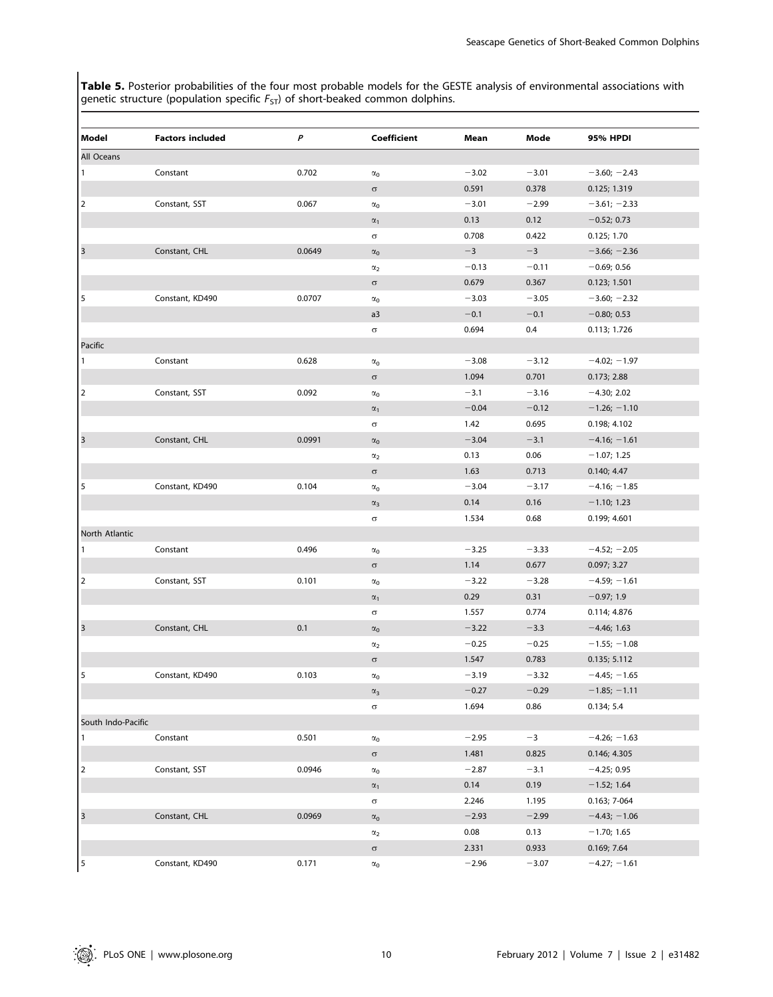Table 5. Posterior probabilities of the four most probable models for the GESTE analysis of environmental associations with genetic structure (population specific  $F_{\textrm{ST}}$ ) of short-beaked common dolphins.

| Model              | <b>Factors included</b> | P      | Coefficient | Mean    | Mode    | <b>95% HPDI</b> |
|--------------------|-------------------------|--------|-------------|---------|---------|-----------------|
| All Oceans         |                         |        |             |         |         |                 |
| $\mathbf{1}$       | Constant                | 0.702  | $\alpha_0$  | $-3.02$ | $-3.01$ | $-3.60; -2.43$  |
|                    |                         |        | $\sigma$    | 0.591   | 0.378   | 0.125; 1.319    |
| 2                  | Constant, SST           | 0.067  | $\alpha_0$  | $-3.01$ | $-2.99$ | $-3.61; -2.33$  |
|                    |                         |        | $\alpha_1$  | 0.13    | 0.12    | $-0.52; 0.73$   |
|                    |                         |        | $\sigma$    | 0.708   | 0.422   | 0.125; 1.70     |
| 3                  | Constant, CHL           | 0.0649 | $\alpha_0$  | $-3$    | $-3$    | $-3.66; -2.36$  |
|                    |                         |        | $\alpha_2$  | $-0.13$ | $-0.11$ | $-0.69; 0.56$   |
|                    |                         |        | $\sigma$    | 0.679   | 0.367   | 0.123; 1.501    |
| 5                  | Constant, KD490         | 0.0707 | $\alpha_0$  | $-3.03$ | $-3.05$ | $-3.60; -2.32$  |
|                    |                         |        | a3          | $-0.1$  | $-0.1$  | $-0.80; 0.53$   |
|                    |                         |        | $\sigma$    | 0.694   | 0.4     | 0.113; 1.726    |
| Pacific            |                         |        |             |         |         |                 |
| $\mathbf{1}$       | Constant                | 0.628  | $\alpha_0$  | $-3.08$ | $-3.12$ | $-4.02; -1.97$  |
|                    |                         |        | $\sigma$    | 1.094   | 0.701   | 0.173; 2.88     |
| $\overline{2}$     | Constant, SST           | 0.092  | $\alpha_0$  | $-3.1$  | $-3.16$ | $-4.30; 2.02$   |
|                    |                         |        | $\alpha_1$  | $-0.04$ | $-0.12$ | $-1.26; -1.10$  |
|                    |                         |        | $\sigma$    | 1.42    | 0.695   | 0.198; 4.102    |
| 3                  | Constant, CHL           | 0.0991 | $\alpha_0$  | $-3.04$ | $-3.1$  | $-4.16; -1.61$  |
|                    |                         |        | $\alpha_2$  | 0.13    | 0.06    | $-1.07; 1.25$   |
|                    |                         |        | $\sigma$    | 1.63    | 0.713   | 0.140; 4.47     |
| 5                  | Constant, KD490         | 0.104  | $\alpha_0$  | $-3.04$ | $-3.17$ | $-4.16; -1.85$  |
|                    |                         |        | $\alpha_3$  | 0.14    | 0.16    | $-1.10; 1.23$   |
|                    |                         |        | $\sigma$    | 1.534   | 0.68    | 0.199; 4.601    |
| North Atlantic     |                         |        |             |         |         |                 |
| 1                  | Constant                | 0.496  | $\alpha_0$  | $-3.25$ | $-3.33$ | $-4.52; -2.05$  |
|                    |                         |        | $\sigma$    | 1.14    | 0.677   | 0.097; 3.27     |
| 2                  | Constant, SST           | 0.101  | $\alpha_0$  | $-3.22$ | $-3.28$ | $-4.59; -1.61$  |
|                    |                         |        | $\alpha_1$  | 0.29    | 0.31    | $-0.97; 1.9$    |
|                    |                         |        | $\sigma$    | 1.557   | 0.774   | 0.114; 4.876    |
| 3                  | Constant, CHL           | 0.1    | $\alpha_0$  | $-3.22$ | $-3.3$  | $-4.46; 1.63$   |
|                    |                         |        | $\alpha_2$  | $-0.25$ | $-0.25$ | $-1.55; -1.08$  |
|                    |                         |        | $\sigma$    | 1.547   | 0.783   | 0.135; 5.112    |
| 5                  | Constant, KD490         | 0.103  | $\alpha_0$  | $-3.19$ | $-3.32$ | $-4.45; -1.65$  |
|                    |                         |        | $\alpha_3$  | $-0.27$ | $-0.29$ | $-1.85; -1.11$  |
|                    |                         |        | $\sigma$    | 1.694   | 0.86    | 0.134; 5.4      |
| South Indo-Pacific |                         |        |             |         |         |                 |
| $\mathbf{1}$       | Constant                | 0.501  | $\alpha_0$  | $-2.95$ | $-3$    | $-4.26; -1.63$  |
|                    |                         |        | $\sigma$    | 1.481   | 0.825   | 0.146; 4.305    |
| $\mathbf 2$        | Constant, SST           | 0.0946 | $\alpha_0$  | $-2.87$ | $-3.1$  | $-4.25; 0.95$   |
|                    |                         |        | $\alpha_1$  | 0.14    | 0.19    | $-1.52; 1.64$   |
|                    |                         |        | $\sigma$    | 2.246   | 1.195   | $0.163; 7-064$  |
| 3                  | Constant, CHL           | 0.0969 | $\alpha_0$  | $-2.93$ | $-2.99$ | $-4.43; -1.06$  |
|                    |                         |        | $\alpha_2$  | 0.08    | 0.13    | $-1.70; 1.65$   |
|                    |                         |        | $\sigma$    | 2.331   | 0.933   | 0.169; 7.64     |
| 5                  | Constant, KD490         | 0.171  | $\alpha_0$  | $-2.96$ | $-3.07$ | $-4.27; -1.61$  |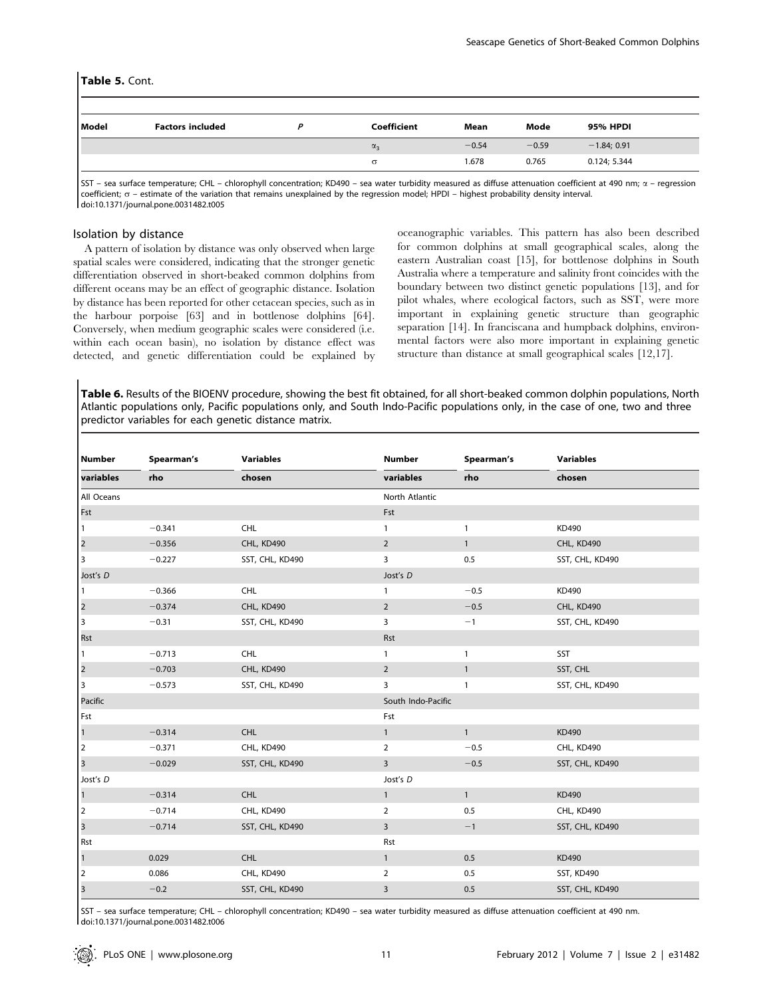#### Table 5. Cont.

| Model | <b>Factors included</b> | Coefficient | Mean    | Mode    | 95% HPDI      |  |
|-------|-------------------------|-------------|---------|---------|---------------|--|
|       |                         | $\alpha_3$  | $-0.54$ | $-0.59$ | $-1.84; 0.91$ |  |
|       |                         | $\sigma$    | 1.678   | 0.765   | 0.124; 5.344  |  |

SST – sea surface temperature; CHL – chlorophyll concentration; KD490 – sea water turbidity measured as diffuse attenuation coefficient at 490 nm; a – regression coefficient;  $\sigma$  – estimate of the variation that remains unexplained by the regression model; HPDI – highest probability density interval. doi:10.1371/journal.pone.0031482.t005

#### Isolation by distance

A pattern of isolation by distance was only observed when large spatial scales were considered, indicating that the stronger genetic differentiation observed in short-beaked common dolphins from different oceans may be an effect of geographic distance. Isolation by distance has been reported for other cetacean species, such as in the harbour porpoise [63] and in bottlenose dolphins [64]. Conversely, when medium geographic scales were considered (i.e. within each ocean basin), no isolation by distance effect was detected, and genetic differentiation could be explained by oceanographic variables. This pattern has also been described for common dolphins at small geographical scales, along the eastern Australian coast [15], for bottlenose dolphins in South Australia where a temperature and salinity front coincides with the boundary between two distinct genetic populations [13], and for pilot whales, where ecological factors, such as SST, were more important in explaining genetic structure than geographic separation [14]. In franciscana and humpback dolphins, environmental factors were also more important in explaining genetic structure than distance at small geographical scales [12,17].

Table 6. Results of the BIOENV procedure, showing the best fit obtained, for all short-beaked common dolphin populations, North Atlantic populations only, Pacific populations only, and South Indo-Pacific populations only, in the case of one, two and three predictor variables for each genetic distance matrix.

| <b>Number</b>           | Spearman's | <b>Variables</b> | <b>Number</b>      | Spearman's   | <b>Variables</b> |
|-------------------------|------------|------------------|--------------------|--------------|------------------|
| variables               | rho        | chosen           | variables          | rho          | chosen           |
| All Oceans              |            |                  | North Atlantic     |              |                  |
| Fst                     |            |                  | Fst                |              |                  |
| $\mathbf{1}$            | $-0.341$   | CHL              | $\mathbf{1}$       | $\mathbf{1}$ | KD490            |
| $\overline{\mathbf{c}}$ | $-0.356$   | CHL, KD490       | $\overline{2}$     | $\mathbf{1}$ | CHL, KD490       |
| 3                       | $-0.227$   | SST, CHL, KD490  | 3                  | 0.5          | SST, CHL, KD490  |
| Jost's D                |            |                  | Jost's D           |              |                  |
| $\vert$ 1               | $-0.366$   | CHL              | $\mathbf{1}$       | $-0.5$       | KD490            |
| $\vert$ <sub>2</sub>    | $-0.374$   | CHL, KD490       | $\overline{2}$     | $-0.5$       | CHL, KD490       |
| 3                       | $-0.31$    | SST, CHL, KD490  | 3                  | $-1$         | SST, CHL, KD490  |
| Rst                     |            |                  | Rst                |              |                  |
| $\mathbf{1}$            | $-0.713$   | CHL              | $\mathbf{1}$       | $\mathbf{1}$ | SST              |
| $\overline{a}$          | $-0.703$   | CHL, KD490       | $\overline{2}$     | $\mathbf{1}$ | SST, CHL         |
| 3                       | $-0.573$   | SST, CHL, KD490  | 3                  | $\mathbf{1}$ | SST, CHL, KD490  |
| Pacific                 |            |                  | South Indo-Pacific |              |                  |
| Fst                     |            |                  | Fst                |              |                  |
| $\mathbf{1}$            | $-0.314$   | CHL              | $\mathbf{1}$       | $\mathbf{1}$ | KD490            |
| 2                       | $-0.371$   | CHL, KD490       | $\overline{2}$     | $-0.5$       | CHL, KD490       |
| $\overline{3}$          | $-0.029$   | SST, CHL, KD490  | $\overline{3}$     | $-0.5$       | SST, CHL, KD490  |
| Jost's D                |            |                  | Jost's D           |              |                  |
| $\mathbf{1}$            | $-0.314$   | CHL              | $\mathbf{1}$       | $\mathbf{1}$ | KD490            |
| 2                       | $-0.714$   | CHL, KD490       | $\overline{2}$     | 0.5          | CHL, KD490       |
| $\vert$ 3               | $-0.714$   | SST, CHL, KD490  | $\overline{3}$     | $-1$         | SST, CHL, KD490  |
| Rst                     |            |                  | Rst                |              |                  |
| $\mathbf{1}$            | 0.029      | CHL              | $\mathbf{1}$       | 0.5          | KD490            |
| 2                       | 0.086      | CHL, KD490       | $\overline{2}$     | 0.5          | SST, KD490       |
| $\vert$ <sub>3</sub>    | $-0.2$     | SST, CHL, KD490  | 3                  | 0.5          | SST, CHL, KD490  |

SST – sea surface temperature; CHL – chlorophyll concentration; KD490 – sea water turbidity measured as diffuse attenuation coefficient at 490 nm. doi:10.1371/journal.pone.0031482.t006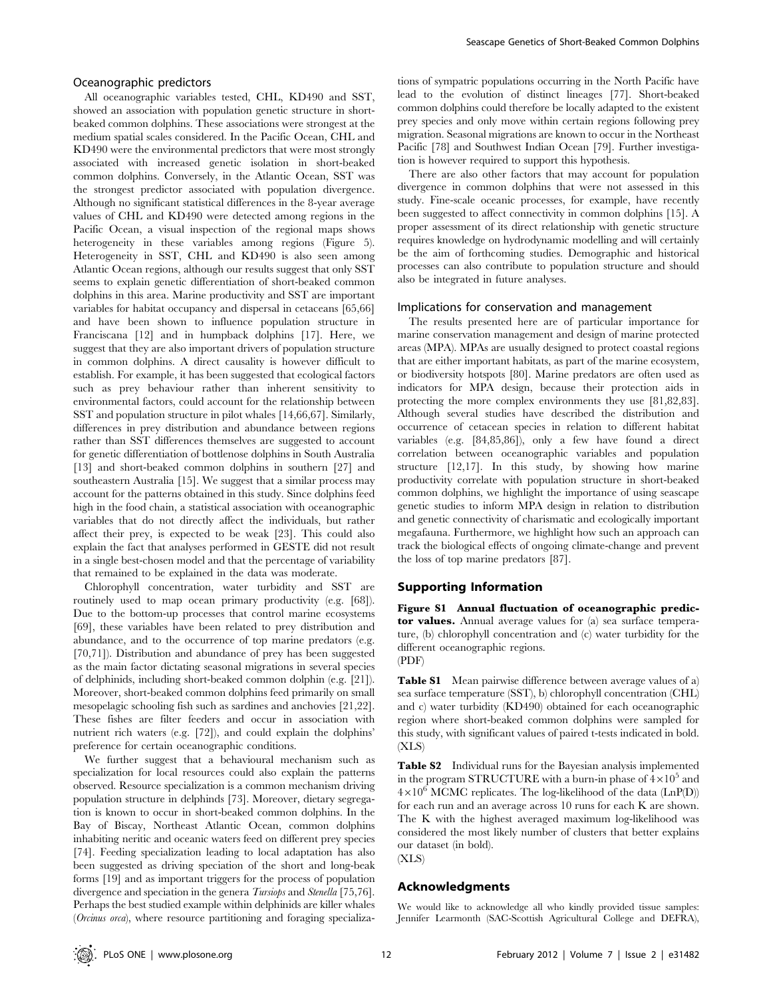#### Oceanographic predictors

All oceanographic variables tested, CHL, KD490 and SST, showed an association with population genetic structure in shortbeaked common dolphins. These associations were strongest at the medium spatial scales considered. In the Pacific Ocean, CHL and KD490 were the environmental predictors that were most strongly associated with increased genetic isolation in short-beaked common dolphins. Conversely, in the Atlantic Ocean, SST was the strongest predictor associated with population divergence. Although no significant statistical differences in the 8-year average values of CHL and KD490 were detected among regions in the Pacific Ocean, a visual inspection of the regional maps shows heterogeneity in these variables among regions (Figure 5). Heterogeneity in SST, CHL and KD490 is also seen among Atlantic Ocean regions, although our results suggest that only SST seems to explain genetic differentiation of short-beaked common dolphins in this area. Marine productivity and SST are important variables for habitat occupancy and dispersal in cetaceans [65,66] and have been shown to influence population structure in Franciscana [12] and in humpback dolphins [17]. Here, we suggest that they are also important drivers of population structure in common dolphins. A direct causality is however difficult to establish. For example, it has been suggested that ecological factors such as prey behaviour rather than inherent sensitivity to environmental factors, could account for the relationship between SST and population structure in pilot whales [14,66,67]. Similarly, differences in prey distribution and abundance between regions rather than SST differences themselves are suggested to account for genetic differentiation of bottlenose dolphins in South Australia [13] and short-beaked common dolphins in southern [27] and southeastern Australia [15]. We suggest that a similar process may account for the patterns obtained in this study. Since dolphins feed high in the food chain, a statistical association with oceanographic variables that do not directly affect the individuals, but rather affect their prey, is expected to be weak [23]. This could also explain the fact that analyses performed in GESTE did not result in a single best-chosen model and that the percentage of variability that remained to be explained in the data was moderate.

Chlorophyll concentration, water turbidity and SST are routinely used to map ocean primary productivity (e.g. [68]). Due to the bottom-up processes that control marine ecosystems [69], these variables have been related to prey distribution and abundance, and to the occurrence of top marine predators (e.g. [70,71]). Distribution and abundance of prey has been suggested as the main factor dictating seasonal migrations in several species of delphinids, including short-beaked common dolphin (e.g. [21]). Moreover, short-beaked common dolphins feed primarily on small mesopelagic schooling fish such as sardines and anchovies [21,22]. These fishes are filter feeders and occur in association with nutrient rich waters (e.g. [72]), and could explain the dolphins' preference for certain oceanographic conditions.

We further suggest that a behavioural mechanism such as specialization for local resources could also explain the patterns observed. Resource specialization is a common mechanism driving population structure in delphinds [73]. Moreover, dietary segregation is known to occur in short-beaked common dolphins. In the Bay of Biscay, Northeast Atlantic Ocean, common dolphins inhabiting neritic and oceanic waters feed on different prey species [74]. Feeding specialization leading to local adaptation has also been suggested as driving speciation of the short and long-beak forms [19] and as important triggers for the process of population divergence and speciation in the genera Tursiops and Stenella [75,76]. Perhaps the best studied example within delphinids are killer whales (*Orcinus orca*), where resource partitioning and foraging specializations of sympatric populations occurring in the North Pacific have lead to the evolution of distinct lineages [77]. Short-beaked common dolphins could therefore be locally adapted to the existent prey species and only move within certain regions following prey migration. Seasonal migrations are known to occur in the Northeast Pacific [78] and Southwest Indian Ocean [79]. Further investigation is however required to support this hypothesis.

There are also other factors that may account for population divergence in common dolphins that were not assessed in this study. Fine-scale oceanic processes, for example, have recently been suggested to affect connectivity in common dolphins [15]. A proper assessment of its direct relationship with genetic structure requires knowledge on hydrodynamic modelling and will certainly be the aim of forthcoming studies. Demographic and historical processes can also contribute to population structure and should also be integrated in future analyses.

#### Implications for conservation and management

The results presented here are of particular importance for marine conservation management and design of marine protected areas (MPA). MPAs are usually designed to protect coastal regions that are either important habitats, as part of the marine ecosystem, or biodiversity hotspots [80]. Marine predators are often used as indicators for MPA design, because their protection aids in protecting the more complex environments they use [81,82,83]. Although several studies have described the distribution and occurrence of cetacean species in relation to different habitat variables (e.g. [84,85,86]), only a few have found a direct correlation between oceanographic variables and population structure [12,17]. In this study, by showing how marine productivity correlate with population structure in short-beaked common dolphins, we highlight the importance of using seascape genetic studies to inform MPA design in relation to distribution and genetic connectivity of charismatic and ecologically important megafauna. Furthermore, we highlight how such an approach can track the biological effects of ongoing climate-change and prevent the loss of top marine predators [87].

#### Supporting Information

Figure S1 Annual fluctuation of oceanographic predictor values. Annual average values for (a) sea surface temperature, (b) chlorophyll concentration and (c) water turbidity for the different oceanographic regions. (PDF)

Table S1 Mean pairwise difference between average values of a) sea surface temperature (SST), b) chlorophyll concentration (CHL) and c) water turbidity (KD490) obtained for each oceanographic region where short-beaked common dolphins were sampled for this study, with significant values of paired t-tests indicated in bold. (XLS)

Table S2 Individual runs for the Bayesian analysis implemented in the program STRUCTURE with a burn-in phase of  $4\times10^5$  and  $4\times10^6$  MCMC replicates. The log-likelihood of the data (LnP(D)) for each run and an average across 10 runs for each K are shown. The K with the highest averaged maximum log-likelihood was considered the most likely number of clusters that better explains our dataset (in bold).

# (XLS)

# Acknowledgments

We would like to acknowledge all who kindly provided tissue samples: Jennifer Learmonth (SAC-Scottish Agricultural College and DEFRA),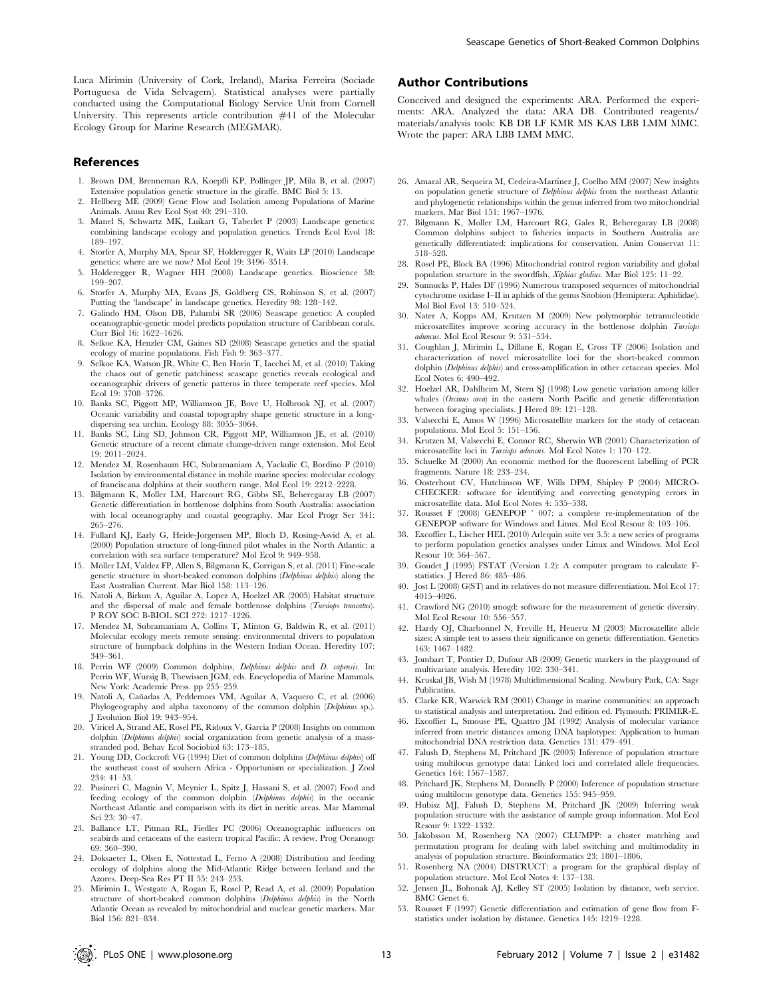Luca Mirimin (University of Cork, Ireland), Marisa Ferreira (Sociade Portuguesa de Vida Selvagem). Statistical analyses were partially conducted using the Computational Biology Service Unit from Cornell University. This represents article contribution #41 of the Molecular Ecology Group for Marine Research (MEGMAR).

#### References

- 1. Brown DM, Brenneman RA, Koepfli KP, Pollinger JP, Mila B, et al. (2007) Extensive population genetic structure in the giraffe. BMC Biol 5: 13.
- 2. Hellberg ME (2009) Gene Flow and Isolation among Populations of Marine Animals. Annu Rev Ecol Syst 40: 291–310.
- 3. Manel S, Schwartz MK, Luikart G, Taberlet P (2003) Landscape genetics: combining landscape ecology and population genetics. Trends Ecol Evol 18: 189–197.
- 4. Storfer A, Murphy MA, Spear SF, Holderegger R, Waits LP (2010) Landscape genetics: where are we now? Mol Ecol 19: 3496–3514.
- 5. Holderegger R, Wagner HH (2008) Landscape genetics. Bioscience 58: 199–207.
- 6. Storfer A, Murphy MA, Evans JS, Goldberg CS, Robinson S, et al. (2007) Putting the 'landscape' in landscape genetics. Heredity 98: 128–142.
- 7. Galindo HM, Olson DB, Palumbi SR (2006) Seascape genetics: A coupled oceanographic-genetic model predicts population structure of Caribbean corals. Curr Biol 16: 1622–1626.
- 8. Selkoe KA, Henzler CM, Gaines SD (2008) Seascape genetics and the spatial ecology of marine populations. Fish Fish 9: 363–377.
- 9. Selkoe KA, Watson JR, White C, Ben Horin T, Iacchei M, et al. (2010) Taking the chaos out of genetic patchiness: seascape genetics reveals ecological and oceanographic drivers of genetic patterns in three temperate reef species. Mol Ecol 19: 3708–3726.
- 10. Banks SC, Piggott MP, Williamson JE, Bove U, Holbrook NJ, et al. (2007) Oceanic variability and coastal topography shape genetic structure in a longdispersing sea urchin. Ecology 88: 3055–3064.
- 11. Banks SC, Ling SD, Johnson CR, Piggott MP, Williamson JE, et al. (2010) Genetic structure of a recent climate change-driven range extension. Mol Ecol 19: 2011–2024.
- 12. Mendez M, Rosenbaum HC, Subramaniam A, Yackulic C, Bordino P (2010) Isolation by environmental distance in mobile marine species: molecular ecology of franciscana dolphins at their southern range. Mol Ecol 19: 2212–2228.
- 13. Bilgmann K, Moller LM, Harcourt RG, Gibbs SE, Beheregaray LB (2007) Genetic differentiation in bottlenose dolphins from South Australia: association with local oceanography and coastal geography. Mar Ecol Progr Ser 341: 265–276.
- 14. Fullard KJ, Early G, Heide-Jorgensen MP, Bloch D, Rosing-Asvid A, et al. (2000) Population structure of long-finned pilot whales in the North Atlantic: a correlation with sea surface temperature? Mol Ecol 9: 949–958.
- 15. Möller LM, Valdez FP, Allen S, Bilgmann K, Corrigan S, et al. (2011) Fine-scale genetic structure in short-beaked common dolphins (Delphinus delphis) along the East Australian Current. Mar Biol 158: 113–126.
- 16. Natoli A, Birkun A, Aguilar A, Lopez A, Hoelzel AR (2005) Habitat structure and the dispersal of male and female bottlenose dolphins (Tursiops truncatus). P ROY SOC B-BIOL SCI 272: 1217–1226.
- 17. Mendez M, Subramaniam A, Collins T, Minton G, Baldwin R, et al. (2011) Molecular ecology meets remote sensing: environmental drivers to population structure of humpback dolphins in the Western Indian Ocean. Heredity 107: 349–361.
- 18. Perrin WF (2009) Common dolphins, Delphinus delphis and D. capensis. In: Perrin WF, Wursig B, Thewissen JGM, eds. Encyclopedia of Marine Mammals. New York: Academic Press. pp 255–259.
- 19. Natoli A, Cañadas A, Peddemors VM, Aguilar A, Vaquero C, et al. (2006) Phylogeography and alpha taxonomy of the common dolphin (Delphinus sp.). J Evolution Biol 19: 943–954.
- 20. Viricel A, Strand AE, Rosel PE, Ridoux V, Garcia P (2008) Insights on common dolphin (Delphinus delphis) social organization from genetic analysis of a massstranded pod. Behav Ecol Sociobiol 63: 173–185.
- 21. Young DD, Cockcroft VG (1994) Diet of common dolphins (Delphinus delphis) off the southeast coast of souhern Africa - Opportunism or specialization. J Zool 234: 41–53.
- 22. Pusineri C, Magnin V, Meynier L, Spitz J, Hassani S, et al. (2007) Food and feeding ecology of the common dolphin (Delphinus delphis) in the oceanic Northeast Atlantic and comparison with its diet in neritic areas. Mar Mammal Sci 23: 30–47.
- 23. Ballance LT, Pitman RL, Fiedler PC (2006) Oceanographic influences on seabirds and cetaceans of the eastern tropical Pacific: A review. Prog Oceanogr 69: 360–390.
- 24. Doksaeter L, Olsen E, Nottestad L, Ferno A (2008) Distribution and feeding ecology of dolphins along the Mid-Atlantic Ridge between Iceland and the Azores. Deep-Sea Res PT II 55: 243–253.
- 25. Mirimin L, Westgate A, Rogan E, Rosel P, Read A, et al. (2009) Population structure of short-beaked common dolphins (Delphinus delphis) in the North Atlantic Ocean as revealed by mitochondrial and nuclear genetic markers. Mar Biol 156: 821–834.

#### Author Contributions

Conceived and designed the experiments: ARA. Performed the experiments: ARA. Analyzed the data: ARA DB. Contributed reagents/ materials/analysis tools: KB DB LF KMR MS KAS LBB LMM MMC. Wrote the paper: ARA LBB LMM MMC.

- 26. Amaral AR, Sequeira M, Cedeira-Martínez J, Coelho MM (2007) New insights on population genetic structure of Delphinus delphis from the northeast Atlantic and phylogenetic relationships within the genus inferred from two mitochondrial markers. Mar Biol 151: 1967–1976.
- 27. Bilgmann K, Moller LM, Harcourt RG, Gales R, Beheregaray LB (2008) Common dolphins subject to fisheries impacts in Southern Australia are genetically differentiated: implications for conservation. Anim Conservat 11: 518–528.
- 28. Rosel PE, Block BA (1996) Mitochondrial control region variability and global population structure in the swordfish, Xiphias gladius. Mar Biol 125: 11–22.
- 29. Sunnucks P, Hales DF (1996) Numerous transposed sequences of mitochondrial cytochrome oxidase I–II in aphids of the genus Sitobion (Hemiptera: Aphididae). Mol Biol Evol 13: 510–524.
- 30. Nater A, Kopps AM, Krutzen M (2009) New polymorphic tetranucleotide microsatellites improve scoring accuracy in the bottlenose dolphin Tursiops aduncus. Mol Ecol Resour 9: 531–534.
- 31. Coughlan J, Mirimin L, Dillane E, Rogan E, Cross TF (2006) Isolation and characterization of novel microsatellite loci for the short-beaked common dolphin (Delphinus delphis) and cross-amplification in other cetacean species. Mol Ecol Notes 6: 490–492.
- 32. Hoelzel AR, Dahlheim M, Stern SJ (1998) Low genetic variation among killer whales (Orcinus orca) in the eastern North Pacific and genetic differentiation between foraging specialists. J Hered 89: 121–128.
- 33. Valsecchi E, Amos W (1996) Microsatellite markers for the study of cetacean populations. Mol Ecol 5: 151–156.
- 34. Krutzen M, Valsecchi E, Connor RC, Sherwin WB (2001) Characterization of microsatellite loci in Tursiops aduncus. Mol Ecol Notes 1: 170–172.
- 35. Schuelke M (2000) An economic method for the fluorescent labelling of PCR fragments. Nature 18: 233–234.
- 36. Oosterhout CV, Hutchinson WF, Wills DPM, Shipley P (2004) MICRO-CHECKER: software for identifying and correcting genotyping errors in microsatellite data. Mol Ecol Notes 4: 535–538.
- 37. Rousset F (2008) GENEPOP ' 007: a complete re-implementation of the GENEPOP software for Windows and Linux. Mol Ecol Resour 8: 103–106.
- 38. Excoffier L, Lischer HEL (2010) Arlequin suite ver 3.5: a new series of programs to perform population genetics analyses under Linux and Windows. Mol Ecol Resour 10: 564–567.
- 39. Goudet J (1995) FSTAT (Version 1.2): A computer program to calculate Fstatistics. J Hered 86: 485–486.
- 40. Jost L (2008) G(ST) and its relatives do not measure differentiation. Mol Ecol 17: 4015–4026.
- 41. Crawford NG (2010) smogd: software for the measurement of genetic diversity. Mol Ecol Resour 10: 556–557.
- 42. Hardy OJ, Charbonnel N, Freville H, Heuertz M (2003) Microsatellite allele sizes: A simple test to assess their significance on genetic differentiation. Genetics 163: 1467–1482.
- 43. Jombart T, Pontier D, Dufour AB (2009) Genetic markers in the playground of multivariate analysis. Heredity 102: 330–341.
- 44. Kruskal JB, Wish M (1978) Multidimensional Scaling. Newbury Park, CA: Sage **Publicatins**
- 45. Clarke KR, Warwick RM (2001) Change in marine communities: an approach to statistical analysis and interpretation. 2nd edition ed. Plymouth: PRIMER-E.
- 46. Excoffier L, Smouse PE, Quattro JM (1992) Analysis of molecular variance inferred from metric distances among DNA haplotypes: Application to human mitochondrial DNA restriction data. Genetics 131: 479–491.
- 47. Falush D, Stephens M, Pritchard JK (2003) Inference of population structure using multilocus genotype data: Linked loci and correlated allele frequencies. Genetics 164: 1567–1587.
- 48. Pritchard JK, Stephens M, Donnelly P (2000) Inference of population structure using multilocus genotype data. Genetics 155: 945–959.
- 49. Hubisz MJ, Falush D, Stephens M, Pritchard JK (2009) Inferring weak population structure with the assistance of sample group information. Mol Ecol Resour 9: 1322–1332.
- Jakobsson M, Rosenberg NA (2007) CLUMPP: a cluster matching and permutation program for dealing with label switching and multimodality in analysis of population structure. Bioinformatics 23: 1801–1806.
- 51. Rosenberg NA (2004) DISTRUCT: a program for the graphical display of population structure. Mol Ecol Notes 4: 137–138.
- 52. Jensen JL, Bohonak AJ, Kelley ST (2005) Isolation by distance, web service. BMC Genet 6.
- 53. Rousset F (1997) Genetic differentiation and estimation of gene flow from Fstatistics under isolation by distance. Genetics 145: 1219–1228.